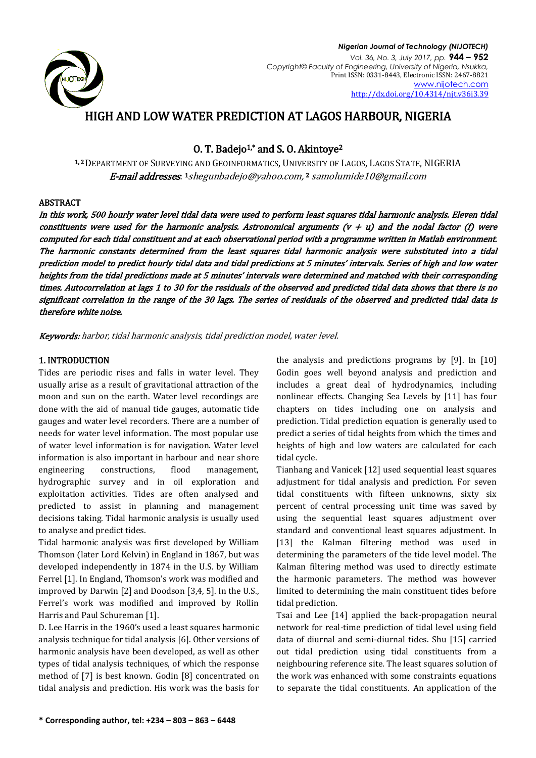

# HIGH AND LOW WATER PREDICTION AT LAGOS HARBOUR, NIGERIA

# O. T. Badejo<sup>1,\*</sup> and S. O. Akintoye<sup>2</sup>

1, <sup>2</sup> DEPARTMENT OF SURVEYING AND GEOINFORMATICS, UNIVERSITY OF LAGOS, LAGOS STATE, NIGERIA **E-mail addresses**: <sup>1</sup>[shegunbadejo@yahoo.com,](mailto:shegunbadejo@yahoo.com) 2 samolumide10@gmail.com

## ABSTRACT

In this work, 500 hourly water level tidal data were used to perform least squares tidal harmonic analysis. Eleven tidal constituents were used for the harmonic analysis. Astronomical arguments  $(v + u)$  and the nodal factor (f) were computed for each tidal constituent and at each observational period with a programme written in Matlab environment. The harmonic constants determined from the least squares tidal harmonic analysis were substituted into a tidal prediction model to predict hourly tidal data and tidal predictions at 5 minutes' intervals. Series of high and low water heights from the tidal predictions made at 5 minutes' intervals were determined and matched with their corresponding times. Autocorrelation at lags 1 to 30 for the residuals of the observed and predicted tidal data shows that there is no significant correlation in the range of the 30 lags. The series of residuals of the observed and predicted tidal data is therefore white noise.

Keywords: harbor, tidal harmonic analysis, tidal prediction model, water level.

## 1. INTRODUCTION

Tides are periodic rises and falls in water level. They usually arise as a result of gravitational attraction of the moon and sun on the earth. Water level recordings are done with the aid of manual tide gauges, automatic tide gauges and water level recorders. There are a number of needs for water level information. The most popular use of water level information is for navigation. Water level information is also important in harbour and near shore engineering constructions, flood management, hydrographic survey and in oil exploration and exploitation activities. Tides are often analysed and predicted to assist in planning and management decisions taking. Tidal harmonic analysis is usually used to analyse and predict tides.

Tidal harmonic analysis was first developed by William Thomson (later Lord Kelvin) in England in 1867, but was developed independently in 1874 in the U.S. by William Ferrel [1]. In England, Thomson's work was modified and improved by Darwin [2] and Doodson [3,4, 5]. In the U.S., Ferrel's work was modified and improved by Rollin Harris and Paul Schureman [1].

D. Lee Harris in the 1960's used a least squares harmonic analysis technique for tidal analysis [6]. Other versions of harmonic analysis have been developed, as well as other types of tidal analysis techniques, of which the response method of [7] is best known. Godin [8] concentrated on tidal analysis and prediction. His work was the basis for the analysis and predictions programs by [9]. In [10] Godin goes well beyond analysis and prediction and includes a great deal of hydrodynamics, including nonlinear effects. Changing Sea Levels by [11] has four chapters on tides including one on analysis and prediction. Tidal prediction equation is generally used to predict a series of tidal heights from which the times and heights of high and low waters are calculated for each tidal cycle.

Tianhang and Vanicek [12] used sequential least squares adjustment for tidal analysis and prediction. For seven tidal constituents with fifteen unknowns, sixty six percent of central processing unit time was saved by using the sequential least squares adjustment over standard and conventional least squares adjustment. In [13] the Kalman filtering method was used in determining the parameters of the tide level model. The Kalman filtering method was used to directly estimate the harmonic parameters. The method was however limited to determining the main constituent tides before tidal prediction.

Tsai and Lee [14] applied the back-propagation neural network for real-time prediction of tidal level using field data of diurnal and semi-diurnal tides. Shu [15] carried out tidal prediction using tidal constituents from a neighbouring reference site. The least squares solution of the work was enhanced with some constraints equations to separate the tidal constituents. An application of the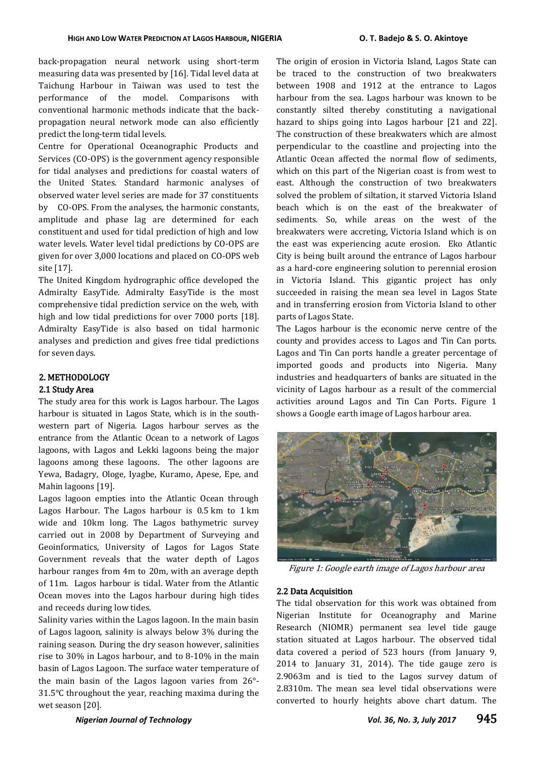back-propagation neural network using short-term measuring data was presented by [16]. Tidal level data at Taichung Harbour in Taiwan was used to test the performance of the model. Comparisons with conventional harmonic methods indicate that the backpropagation neural network mode can also efficiently predict the long-term tidal levels.

Centre for Operational Oceanographic Products and Services (CO-OPS) is the government agency responsible for tidal analyses and predictions for coastal waters of the United States. Standard harmonic analyses of observed water level series are made for 37 constituents by CO-OPS. From the analyses, the harmonic constants, amplitude and phase lag are determined for each constituent and used for tidal prediction of high and low water levels. Water level tidal predictions by CO-OPS are given for over 3,000 locations and placed on CO-OPS web site [17].

The United Kingdom hydrographic office developed the Admiralty EasyTide. Admiralty EasyTide is the most comprehensive tidal prediction service on the web, with high and low tidal predictions for over 7000 ports [18]. Admiralty EasyTide is also based on tidal harmonic analyses and prediction and gives free tidal predictions for seven days.

## 2. METHODOLOGY 2.1 Study Area

The study area for this work is Lagos harbour. The Lagos harbour is situated in Lagos State, which is in the southwestern part of Nigeria. Lagos harbour serves as the entrance from the Atlantic Ocean to a network of Lagos lagoons, with Lagos and Lekki lagoons being the major lagoons among these lagoons. The other lagoons are Yewa, Badagry, Ologe, Iyagbe, Kuramo, Apese, Epe, and Mahin lagoons [19].

Lagos lagoon empties into the Atlantic Ocean through Lagos Harbour. The Lagos harbour is 0.5 km to 1 km wide and 10km long. The Lagos bathymetric survey carried out in 2008 by Department of Surveying and Geoinformatics, University of Lagos for Lagos State Government reveals that the water depth of Lagos harbour ranges from 4m to 20m, with an average depth of 11m. Lagos harbour is tidal. Water from the Atlantic Ocean moves into the Lagos harbour during high tides and receeds during low tides.

Salinity varies within the Lagos lagoon. In the main basin of Lagos lagoon, salinity is always below 3% during the raining season. During the dry season however, salinities rise to 30% in Lagos harbour, and to 8-10% in the main basin of Lagos Lagoon. The surface water temperature of the main basin of the Lagos lagoon varies from 26°- 31.5°C throughout the year, reaching maxima during the wet season [20].

The origin of erosion in Victoria Island, Lagos State can be traced to the construction of two breakwaters between 1908 and 1912 at the entrance to Lagos harbour from the sea. Lagos harbour was known to be constantly silted thereby constituting a navigational hazard to ships going into Lagos harbour [21 and 22]. The construction of these breakwaters which are almost perpendicular to the coastline and projecting into the Atlantic Ocean affected the normal flow of sediments, which on this part of the Nigerian coast is from west to east. Although the construction of two breakwaters solved the problem of siltation, it starved Victoria Island beach which is on the east of the breakwater of sediments. So, while areas on the west of the breakwaters were accreting, Victoria Island which is on the east was experiencing acute erosion. Eko Atlantic City is being built around the entrance of Lagos harbour as a hard-core engineering solution to perennial erosion in Victoria Island. This gigantic project has only succeeded in raising the mean sea level in Lagos State and in transferring erosion from Victoria Island to other parts of Lagos State.

The Lagos harbour is the economic nerve centre of the county and provides access to Lagos and Tin Can ports. Lagos and Tin Can ports handle a greater percentage of imported goods and products into Nigeria. Many industries and headquarters of banks are situated in the vicinity of Lagos harbour as a result of the commercial activities around Lagos and Tin Can Ports. Figure 1 shows a Google earth image of Lagos harbour area.



Figure 1: Google earth image of Lagos harbour area

## 2.2 Data Acquisition

The tidal observation for this work was obtained from Nigerian Institute for Oceanography and Marine Research (NIOMR) permanent sea level tide gauge station situated at Lagos harbour. The observed tidal data covered a period of 523 hours (from January 9, 2014 to January 31, 2014). The tide gauge zero is 2.9063m and is tied to the Lagos survey datum of 2.8310m. The mean sea level tidal observations were converted to hourly heights above chart datum. The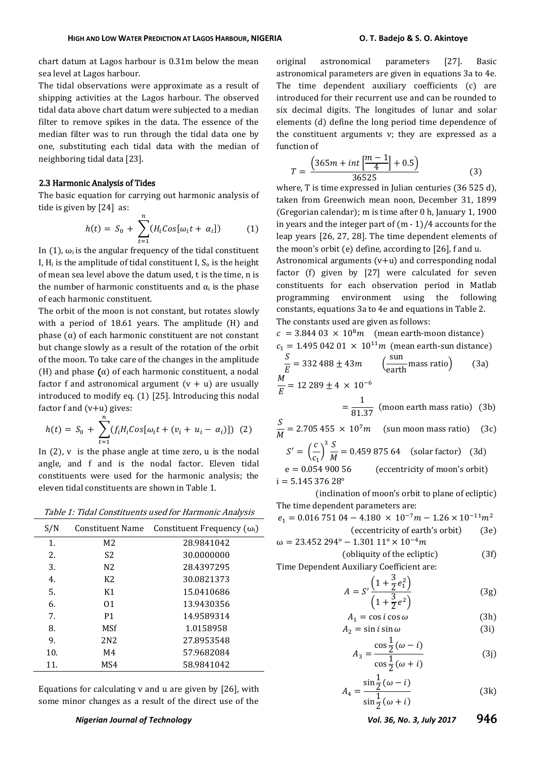chart datum at Lagos harbour is 0.31m below the mean sea level at Lagos harbour.

The tidal observations were approximate as a result of shipping activities at the Lagos harbour. The observed tidal data above chart datum were subjected to a median filter to remove spikes in the data. The essence of the median filter was to run through the tidal data one by one, substituting each tidal data with the median of neighboring tidal data [23].

#### 2.3 Harmonic Analysis of Tides

The basic equation for carrying out harmonic analysis of tide is given by [24] as:

$$
h(t) = S_0 + \sum_{t=1}^{n} (H_i \cos[\omega_i t + \alpha_i])
$$
 (1)

In (1),  $ω$ <sub>i</sub> is the angular frequency of the tidal constituent I,  $H_i$  is the amplitude of tidal constituent I,  $S_0$  is the height of mean sea level above the datum used, t is the time, n is the number of harmonic constituents and  $\alpha_i$  is the phase of each harmonic constituent.

The orbit of the moon is not constant, but rotates slowly with a period of 18.61 years. The amplitude (H) and phase (α) of each harmonic constituent are not constant but change slowly as a result of the rotation of the orbit of the moon. To take care of the changes in the amplitude (H) and phase  $(\alpha)$  of each harmonic constituent, a nodal factor f and astronomical argument  $(v + u)$  are usually introduced to modify eq. (1) [25]. Introducing this nodal factor f and (v+u) gives:

$$
h(t) = S_0 + \sum_{t=1}^{n} (f_i H_i \cos[\omega_i t + (v_i + u_i - \alpha_i)]) \tag{2}
$$

In  $(2)$ , v is the phase angle at time zero, u is the nodal angle, and f and is the nodal factor. Eleven tidal constituents were used for the harmonic analysis; the eleven tidal constituents are shown in Table 1.

Table 1: Tidal Constituents used for Harmonic Analysis

| S/N | Constituent Name | Constituent Frequency $(\omega_i)$ |
|-----|------------------|------------------------------------|
| 1.  | M <sub>2</sub>   | 28.9841042                         |
| 2.  | S <sub>2</sub>   | 30.0000000                         |
| 3.  | N2               | 28.4397295                         |
| 4.  | K2               | 30.0821373                         |
| 5.  | Κ1               | 15.0410686                         |
| 6.  | 01               | 13.9430356                         |
| 7.  | P <sub>1</sub>   | 14.9589314                         |
| 8.  | MSf              | 1.0158958                          |
| 9.  | 2N <sub>2</sub>  | 27.8953548                         |
| 10. | M4               | 57.9682084                         |
| 11. | MS4              | 58.9841042                         |

Equations for calculating v and u are given by [26], with some minor changes as a result of the direct use of the

original astronomical parameters [27]. Basic astronomical parameters are given in equations 3a to 4e. The time dependent auxiliary coefficients (c) are introduced for their recurrent use and can be rounded to six decimal digits. The longitudes of lunar and solar elements (d) define the long period time dependence of the constituent arguments v; they are expressed as a function of

$$
T = \frac{\left(365m + int\left[\frac{m-1}{4}\right] + 0.5\right)}{36525} \tag{3}
$$

where, T is time expressed in Julian centuries (36 525 d), taken from Greenwich mean noon, December 31, 1899 (Gregorian calendar); m is time after 0 h, January 1, 1900 in years and the integer part of (m - 1)/4 accounts for the leap years [26, 27, 28]. The time dependent elements of the moon's orbit (e) define, according to [26], f and u.

Astronomical arguments (v+u) and corresponding nodal factor (f) given by [27] were calculated for seven constituents for each observation period in Matlab programming environment using the following constants, equations 3a to 4e and equations in Table 2. The constants used are given as follows:

 $c = 3.84403 \times 10^8 m$  (mean earth-moon distance)  $c_1 = 1.495 042 01 \times 10^{11} m$  (mean earth-sun distance)

$$
\frac{S}{E} = 332\,488 \pm 43m \qquad \left(\frac{\text{sun}}{\text{earth}}\text{mass ratio}\right) \qquad (3a)
$$
  

$$
\frac{M}{E} = 12\,289 \pm 4 \times 10^{-6}
$$
  

$$
= \frac{1}{81.37} \qquad \text{(moon earth mass ratio)} \qquad (3b)
$$

$$
\frac{S}{M} = 2.705\ 455 \times 10^7 m \quad \text{(sun moon mass ratio)} \quad (3c)
$$
\n
$$
S' = \left(\frac{c}{c_1}\right)^3 \frac{S}{M} = 0.459\ 875\ 64 \quad \text{(solar factor)} \quad (3d)
$$
\n
$$
e = 0.054\ 900\ 56 \quad \text{(eccentricity of moon's orbit)}
$$

 $i = 5.14537628$ °

(inclination of moon's orbit to plane of ecliptic) The time dependent parameters are:

$$
e_1 = 0.016 751 04 - 4.180 \times 10^{-7} m - 1.26 \times 10^{-11} m^2
$$
  
(eccentricity of earth's orbit) (3e)

$$
\omega = 23.452\,294^\circ - 1.301\,11^\circ \times 10^{-4}m
$$

 $\text{(obliquity of the ecliptic)} \tag{3f}$ Time Dependent Auxiliary Coefficient are:

$$
A = S' \frac{\left(1 + \frac{3}{2}e_1^2\right)}{\left(1 + \frac{3}{2}e^2\right)}
$$
(3g)

$$
A_1 = \cos i \cos \omega \tag{3h}
$$
\n
$$
A_2 = \sin i \sin \omega \tag{3i}
$$

$$
z = \sin t \sin \omega \tag{31}
$$
  

$$
\cos \frac{1}{2}(\omega - i)
$$

$$
A_3 = \frac{\cos \frac{\pi}{2}(\omega - i)}{\cos \frac{1}{2}(\omega + i)}
$$
(3)

$$
A_4 = \frac{\sin\frac{1}{2}(\omega - i)}{\sin\frac{1}{2}(\omega + i)}
$$
(3k)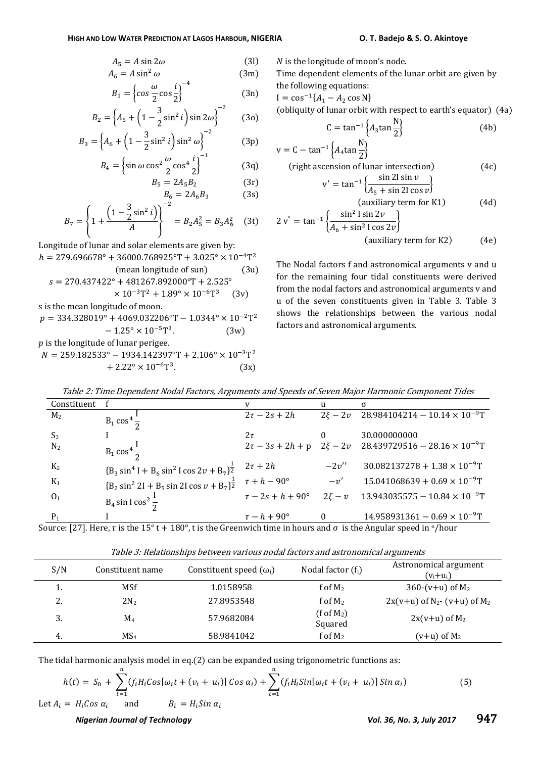$$
A_5 = A \sin 2\omega \tag{3}
$$

$$
A_6 = A \sin^2 \omega \tag{3m}
$$

$$
B_1 = \left\{ \cos \frac{\omega}{2} \cos \frac{i}{2} \right\}^{-4}
$$
 (3n)

$$
B_2 = \left\{ A_5 + \left( 1 - \frac{3}{2} \sin^2 i \right) \sin 2\omega \right\}^{-2} \tag{30}
$$

$$
B_3 = \left\{ A_6 + \left( 1 - \frac{3}{2} \sin^2 i \right) \sin^2 \omega \right\}^{-2}
$$
 (3p)

$$
B_4 = \left\{ \sin \omega \cos^2 \frac{\omega}{2} \cos^4 \frac{i}{2} \right\}^{-1}
$$
 (3q)

$$
B_5 = 2A_5B_2 \t(3r)
$$
  

$$
B_6 = 2A_6B_3 \t(3s)
$$

$$
=2A_6B_3\tag{3s}
$$

$$
B_7 = \left\{ 1 + \frac{\left(1 - \frac{3}{2}\sin^2 i\right)}{A} \right\}^{-2} = B_2 A_5^2 = B_3 A_6^2 \quad (3t)
$$

 $\overline{\phantom{a}}$ 

Longitude of lunar and solar elements are given by:  $h = 279.696678^{\circ} + 36000.768925^{\circ}T + 3.025^{\circ} \times 10^{-4}T^2$  $(mean longitude of sun)$  (3u)  $s = 270.437422^{\circ} + 481267.892000^{\circ}T + 2.525^{\circ}$  $\times 10^{-3}T^2 + 1.89^{\circ} \times 10^{-6}T^3$  $(3v)$ 

s is the mean longitude of moon.

 $p = 334.328019^{\circ} + 4069.032206^{\circ}T - 1.0344^{\circ} \times 10^{-2}T^2$  $-1.25^{\circ} \times 10^{-5}$ T<sup>3</sup>  $(3w)$  $p$  is the longitude of lunar perigee.

 $N = 259.182533^{\circ} - 1934.142397^{\circ}T + 2.106^{\circ} \times 10^{-3}T^2$  $+ 2.22^{\circ} \times 10^{-6}T^{3}$  $(3x)$   $N$  is the longitude of moon's node.

Time dependent elements of the lunar orbit are given by the following equations:

$$
I = \cos^{-1}\{A_1 - A_2 \cos N\}
$$

(obliquity of lunar orbit with respect to earth's equator) (4a)

$$
C = \tan^{-1}\left\{A_3 \tan \frac{N}{2}\right\}
$$
 (4b)

$$
v = C - \tan^{-1} \left\{ A_4 \tan \frac{N}{2} \right\}
$$
  
(right ascension of lunar intersection)  

$$
v' = \tan^{-1} \left\{ \frac{\sin 2l \sin v}{A_5 + \sin 2l \cos v} \right\}
$$
(4c)

$$
\text{(auxiliary term for K1)} \tag{4d}
$$
\n
$$
2\,\text{v}^{\text{}} = \tan^{-1}\left\{\frac{\sin^2\,\text{I}\sin 2v}{4\,\text{I}\cdot\sin^2\,\text{I}\cdot\sin^2\,\text{I}}\right\}
$$

$$
(A6 + sin2 I cos 2v)
$$
  
(auxiliary term for K2) (4e)

The Nodal factors f and astronomical arguments v and u for the remaining four tidal constituents were derived from the nodal factors and astronomical arguments v and u of the seven constituents given in Table 3. Table 3 shows the relationships between the various nodal factors and astronomical arguments.

| Constituent    |                                                                                                                                               |                              | u            | $\sigma$                                                                 |
|----------------|-----------------------------------------------------------------------------------------------------------------------------------------------|------------------------------|--------------|--------------------------------------------------------------------------|
| M <sub>2</sub> | $B_1 \cos^4 \frac{1}{2}$                                                                                                                      | $2\tau - 2s + 2h$            |              | $2\xi - 2v$ 28.984104214 - 10.14 $\times$ 10 <sup>-9</sup> T             |
| S <sub>2</sub> |                                                                                                                                               | $2\tau$                      |              | 30.000000000                                                             |
| $N_2$          | $B_1 \cos^4 \frac{1}{2}$                                                                                                                      |                              |              | $2\tau - 3s + 2h + p$ $2\xi - 2v$ $28.439729516 - 28.16 \times 10^{-9}T$ |
| $K_2$          | ${B_3 \sin^4 I + B_6 \sin^2 I \cos 2\nu + B_7}^{\frac{1}{2}}$                                                                                 | $2\tau + 2h$                 | $-2v''$      | $30.082137278 + 1.38 \times 10^{-9}$ T                                   |
| $K_1$          | ${B_2 \sin^2 2I + B_5 \sin 2I \cos \nu + B_7}^{\frac{1}{2}}$                                                                                  | $\tau + h - 90^{\circ}$      | $-\nu'$      | $15.041068639 + 0.69 \times 10^{-9}$ T                                   |
| 0 <sub>1</sub> | $B_4 \sin \log^2 \frac{1}{2}$                                                                                                                 | $\tau - 2s + h + 90^{\circ}$ | $2\xi - \nu$ | $13.943035575 - 10.84 \times 10^{-9}$ T                                  |
| $P_1$          |                                                                                                                                               | $\tau-h+90^\circ$            | $\theta$     | $14.958931361 - 0.69 \times 10^{-9}$ T                                   |
|                | ource [27] Here $\tau$ is the 15 <sup>0</sup> t + 100 <sup>0</sup> t is the Creenwich time in heurs and $\tau$ is the Angular speed in e/heur |                              |              |                                                                          |

Table 2: Time Dependent Nodal Factors, Arguments and Speeds of Seven Major Harmonic Component Tides

Source: [27]. Here, τ is the 15<sup>°</sup> t + 180<sup>°</sup>, t is the Greenwich time in hours and σ is the Angular speed in <sup>o</sup>/hour

| t abie of themsellollips been een faitoas homm inevold and abit onollipsi algumento |                  |                                |                              |                                                       |  |
|-------------------------------------------------------------------------------------|------------------|--------------------------------|------------------------------|-------------------------------------------------------|--|
| S/N                                                                                 | Constituent name | Constituent speed $(\omega_i)$ | Nodal factor $(f_i)$         | Astronomical argument<br>$(v_i+u_i)$                  |  |
| ı.                                                                                  | <b>MSf</b>       | 1.0158958                      | f of $M_2$                   | 360-(v+u) of $M_2$                                    |  |
| 2.                                                                                  | $2N_2$           | 27.8953548                     | f of $M_2$                   | $2x(v+u)$ of N <sub>2</sub> - (v+u) of M <sub>2</sub> |  |
| 3.                                                                                  | $M_4$            | 57.9682084                     | $(f \circ f M_2)$<br>Squared | $2x(v+u)$ of $M_2$                                    |  |
| 4.                                                                                  | MS <sub>4</sub>  | 58.9841042                     | f of $M_2$                   | $(v+u)$ of $M_2$                                      |  |

Table 3: Relationships between various nodal factors and astronomical arguments

The tidal harmonic analysis model in eq.(2) can be expanded using trigonometric functions as:

$$
h(t) = S_0 + \sum_{t=1}^{n} (f_i H_i \cos[\omega_i t + (\nu_i + u_i)] \cos \alpha_i) + \sum_{t=1}^{n} (f_i H_i \sin[\omega_i t + (\nu_i + u_i)] \sin \alpha_i)
$$
(5)  
et  $A_i = H_i \cos \alpha_i$  and  $B_i = H_i \sin \alpha_i$ 

Let 
$$
A_i = H_i \cos \alpha_i
$$
 and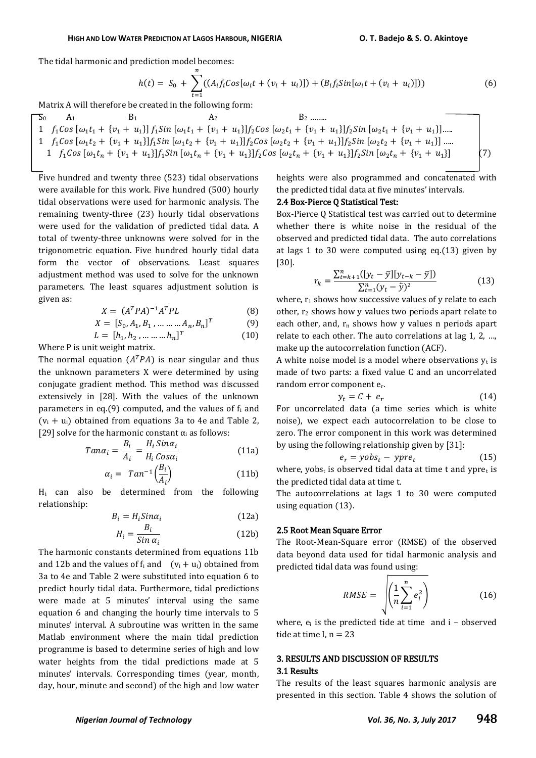The tidal harmonic and prediction model becomes:

$$
h(t) = S_0 + \sum_{t=1}^{n} ((A_i f_i \cos[\omega_i t + (v_i + u_i)]) + (B_i f_i \sin[\omega_i t + (v_i + u_i)]))
$$
(6)

Matrix A will therefore be created in the following form:

$$
\begin{array}{ll}\n\mathcal{F}_0 & A_1 & B_1 & A_2 \\
1 & f_1 \cos \left[\omega_1 t_1 + \{v_1 + u_1\}\right] f_1 \sin \left[\omega_1 t_1 + \{v_1 + u_1\}\right] f_2 \cos \left[\omega_2 t_1 + \{v_1 + u_1\}\right] f_2 \sin \left[\omega_2 t_1 + \{v_1 + u_1\}\right] \dots \\
1 & f_1 \cos \left[\omega_1 t_2 + \{v_1 + u_1\}\right] f_1 \sin \left[\omega_1 t_2 + \{v_1 + u_1\}\right] f_2 \cos \left[\omega_2 t_2 + \{v_1 + u_1\}\right] f_2 \sin \left[\omega_2 t_2 + \{v_1 + u_1\}\right] \dots \\
1 & f_1 \cos \left[\omega_1 t_n + \{v_1 + u_1\}\right] f_1 \sin \left[\omega_1 t_n + \{v_1 + u_1\}\right] f_2 \cos \left[\omega_2 t_n + \{v_1 + u_1\}\right] f_2 \sin \left[\omega_2 t_n + \{v_1 + u_1\}\right]\n\end{array}\n\tag{7}
$$

Five hundred and twenty three (523) tidal observations were available for this work. Five hundred (500) hourly tidal observations were used for harmonic analysis. The remaining twenty-three (23) hourly tidal observations were used for the validation of predicted tidal data. A total of twenty-three unknowns were solved for in the trigonometric equation. Five hundred hourly tidal data form the vector of observations. Least squares adjustment method was used to solve for the unknown parameters. The least squares adjustment solution is given as:

$$
X = (A^T P A)^{-1} A^T P L \tag{8}
$$

$$
X = [S_0, A_1, B_1, \dots \dots \dots A_n, B_n]^T
$$
 (9)

$$
L = [h_1, h_2, \dots \dots \dots h_n]^T
$$
 (10)

Where P is unit weight matrix.

The normal equation  $(A^T P A)$  is near singular and thus the unknown parameters X were determined by using conjugate gradient method. This method was discussed extensively in [28]. With the values of the unknown parameters in eq.(9) computed, and the values of  $f_i$  and  $(v_i + u_i)$  obtained from equations 3a to 4e and Table 2, [29] solve for the harmonic constant  $\alpha_i$  as follows:

$$
Tan\alpha_i = \frac{B_i}{A_i} = \frac{H_i \, Sin\alpha_i}{H_i \, Cos\alpha_i}
$$
 (11a)

$$
\alpha_i = \operatorname{Tan}^{-1}\left(\frac{B_i}{A_i}\right) \tag{11b}
$$

 $H<sub>i</sub>$  can also be determined from the following relationship:

$$
B_i = H_i \sin \alpha_i \tag{12a}
$$

$$
H_i = \frac{B_i}{\sin \alpha_i} \tag{12b}
$$

The harmonic constants determined from equations 11b and 12b and the values of  $f_i$  and  $(v_i + u_i)$  obtained from 3a to 4e and Table 2 were substituted into equation 6 to predict hourly tidal data. Furthermore, tidal predictions were made at 5 minutes' interval using the same equation 6 and changing the hourly time intervals to 5 minutes' interval. A subroutine was written in the same Matlab environment where the main tidal prediction programme is based to determine series of high and low water heights from the tidal predictions made at 5 minutes' intervals. Corresponding times (year, month, day, hour, minute and second) of the high and low water

heights were also programmed and concatenated with the predicted tidal data at five minutes' intervals.

#### 2.4 Box-Pierce Q Statistical Test:

Box-Pierce Q Statistical test was carried out to determine whether there is white noise in the residual of the observed and predicted tidal data. The auto correlations at lags 1 to 30 were computed using eq.(13) given by [30].

$$
r_{k} = \frac{\sum_{t=k+1}^{n} (\left[y_{t} - \bar{y}\right] \left[y_{t-k} - \bar{y}\right])}{\sum_{t=1}^{n} (y_{t} - \bar{y})^{2}}
$$
(13)

where,  $r_1$  shows how successive values of y relate to each other,  $r_2$  shows how y values two periods apart relate to each other, and,  $r_n$  shows how y values n periods apart relate to each other. The auto correlations at lag  $1, 2, ...$ make up the autocorrelation function (ACF).

A white noise model is a model where observations  $v_t$  is made of two parts: a fixed value C and an uncorrelated random error component er.

$$
y_t = C + e_r \tag{14}
$$

For uncorrelated data (a time series which is white noise), we expect each autocorrelation to be close to zero. The error component in this work was determined by using the following relationship given by [31]:

$$
e_r = yobs_t - ypre_t \tag{15}
$$

where, yobst is observed tidal data at time t and ypret is the predicted tidal data at time t.

The autocorrelations at lags 1 to 30 were computed using equation (13).

#### 2.5 Root Mean Square Error

The Root-Mean-Square error (RMSE) of the observed data beyond data used for tidal harmonic analysis and predicted tidal data was found using:

$$
RMSE = \sqrt{\left(\frac{1}{n}\sum_{i=1}^{n} e_i^2\right)}
$$
 (16)

where,  $e_i$  is the predicted tide at time and  $i -$  observed tide at time  $I_n = 23$ 

## 3. RESULTS AND DISCUSSION OF RESULTS 3.1 Results

The results of the least squares harmonic analysis are presented in this section. Table 4 shows the solution of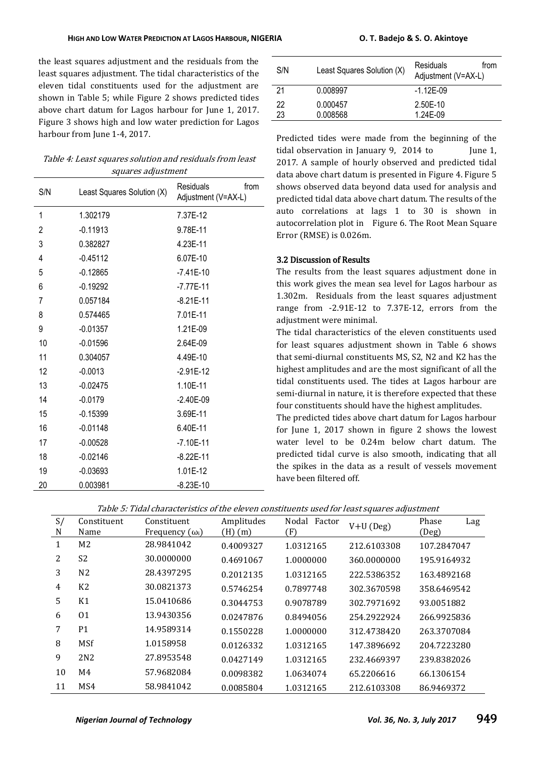the least squares adjustment and the residuals from the least squares adjustment. The tidal characteristics of the eleven tidal constituents used for the adjustment are shown in Table 5; while Figure 2 shows predicted tides above chart datum for Lagos harbour for June 1, 2017. Figure 3 shows high and low water prediction for Lagos harbour from June 1-4, 2017.

Table 4: Least squares solution and residuals from least squares adjustment

| S/N            | Least Squares Solution (X) | <b>Residuals</b><br>from<br>Adjustment (V=AX-L) |
|----------------|----------------------------|-------------------------------------------------|
| 1              | 1.302179                   | 7.37E-12                                        |
| $\overline{2}$ | $-0.11913$                 | 9.78E-11                                        |
| 3              | 0.382827                   | 4.23E-11                                        |
| 4              | $-0.45112$                 | 6.07E-10                                        |
| 5              | $-0.12865$                 | $-7.41E-10$                                     |
| 6              | $-0.19292$                 | $-7.77E-11$                                     |
| 7              | 0.057184                   | $-8.21E-11$                                     |
| 8              | 0.574465                   | 7.01E-11                                        |
| 9              | $-0.01357$                 | 1.21E-09                                        |
| 10             | $-0.01596$                 | 2.64E-09                                        |
| 11             | 0.304057                   | 4.49E-10                                        |
| 12             | $-0.0013$                  | $-2.91E-12$                                     |
| 13             | $-0.02475$                 | 1.10E-11                                        |
| 14             | $-0.0179$                  | $-2.40E-09$                                     |
| 15             | $-0.15399$                 | 3.69E-11                                        |
| 16             | $-0.01148$                 | 6.40E-11                                        |
| 17             | $-0.00528$                 | $-7.10E-11$                                     |
| 18             | $-0.02146$                 | $-8.22E-11$                                     |
| 19             | $-0.03693$                 | 1.01E-12                                        |
| 20             | 0.003981                   | $-8.23E-10$                                     |

| S/N | Least Squares Solution (X) | Residuals<br>trom<br>Adjustment (V=AX-L) |
|-----|----------------------------|------------------------------------------|
| 21  | 0.008997                   | $-1.12E-09$                              |
| 22  | 0.000457                   | 2.50E-10                                 |
| 23  | 0.008568                   | 1.24F-09                                 |

Predicted tides were made from the beginning of the tidal observation in January 9, 2014 to June 1, 2017. A sample of hourly observed and predicted tidal data above chart datum is presented in Figure 4. Figure 5 shows observed data beyond data used for analysis and predicted tidal data above chart datum. The results of the auto correlations at lags 1 to 30 is shown in autocorrelation plot in Figure 6. The Root Mean Square Error (RMSE) is 0.026m.

#### 3.2 Discussion of Results

The results from the least squares adjustment done in this work gives the mean sea level for Lagos harbour as 1.302m. Residuals from the least squares adjustment range from -2.91E-12 to 7.37E-12, errors from the adjustment were minimal.

The tidal characteristics of the eleven constituents used for least squares adjustment shown in Table 6 shows that semi-diurnal constituents MS, S2, N2 and K2 has the highest amplitudes and are the most significant of all the tidal constituents used. The tides at Lagos harbour are semi-diurnal in nature, it is therefore expected that these four constituents should have the highest amplitudes.

The predicted tides above chart datum for Lagos harbour for June 1, 2017 shown in figure 2 shows the lowest water level to be 0.24m below chart datum. The predicted tidal curve is also smooth, indicating that all the spikes in the data as a result of vessels movement have been filtered off.

|--|

| S/<br>N | Constituent<br>Name | Constituent<br>Frequency $(\omega_i)$ | Amplitudes<br>$(H)$ $(m)$ | Nodal<br>Factor<br>(F) | $V+U$ (Deg) | Phase<br>Lag<br>(Deg) |
|---------|---------------------|---------------------------------------|---------------------------|------------------------|-------------|-----------------------|
| 1       | M <sub>2</sub>      | 28.9841042                            | 0.4009327                 | 1.0312165              | 212.6103308 | 107.2847047           |
| 2       | S <sub>2</sub>      | 30.0000000                            | 0.4691067                 | 1.0000000              | 360.0000000 | 195.9164932           |
| 3       | N <sub>2</sub>      | 28.4397295                            | 0.2012135                 | 1.0312165              | 222.5386352 | 163.4892168           |
| 4       | K <sub>2</sub>      | 30.0821373                            | 0.5746254                 | 0.7897748              | 302.3670598 | 358.6469542           |
| 5       | K1                  | 15.0410686                            | 0.3044753                 | 0.9078789              | 302.7971692 | 93.0051882            |
| 6       | 01                  | 13.9430356                            | 0.0247876                 | 0.8494056              | 254.2922924 | 266.9925836           |
| 7       | P <sub>1</sub>      | 14.9589314                            | 0.1550228                 | 1.0000000              | 312.4738420 | 263.3707084           |
| 8       | <b>MSf</b>          | 1.0158958                             | 0.0126332                 | 1.0312165              | 147.3896692 | 204.7223280           |
| 9       | 2N <sub>2</sub>     | 27.8953548                            | 0.0427149                 | 1.0312165              | 232.4669397 | 239.8382026           |
| 10      | M4                  | 57.9682084                            | 0.0098382                 | 1.0634074              | 65.2206616  | 66.1306154            |
| 11      | MS4                 | 58.9841042                            | 0.0085804                 | 1.0312165              | 212.6103308 | 86.9469372            |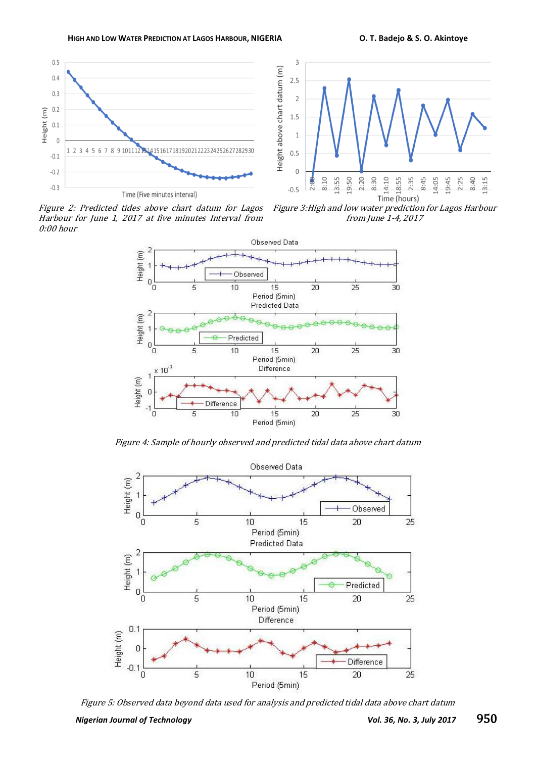



Figure 2: Predicted tides above chart datum for Lagos Harbour for June 1, 2017 at five minutes Interval from 0:00 hour

Figure 3:High and low water prediction for Lagos Harbour from June 1-4, 2017



Figure 4: Sample of hourly observed and predicted tidal data above chart datum



Figure 5: Observed data beyond data used for analysis and predicted tidal data above chart datum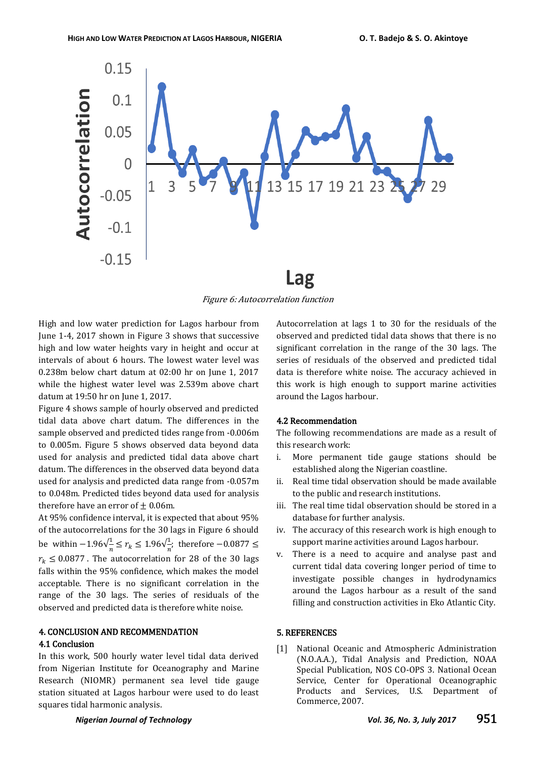

Figure 6: Autocorrelation function

High and low water prediction for Lagos harbour from June 1-4, 2017 shown in Figure 3 shows that successive high and low water heights vary in height and occur at intervals of about 6 hours. The lowest water level was 0.238m below chart datum at 02:00 hr on June 1, 2017 while the highest water level was 2.539m above chart datum at 19:50 hr on June 1, 2017.

Figure 4 shows sample of hourly observed and predicted tidal data above chart datum. The differences in the sample observed and predicted tides range from -0.006m to 0.005m. Figure 5 shows observed data beyond data used for analysis and predicted tidal data above chart datum. The differences in the observed data beyond data used for analysis and predicted data range from -0.057m to 0.048m. Predicted tides beyond data used for analysis therefore have an error of  $\pm$  0.06m.

At 95% confidence interval, it is expected that about 95% of the autocorrelations for the 30 lags in Figure 6 should be within  $-1.96\sqrt{\frac{1}{n}}$  $\frac{1}{n} \le r_k \le 1.96\sqrt{\frac{1}{n}}$  $\frac{1}{n}$ ; therefore  $-0.08$  $r_k \leq 0.0877$ . The autocorrelation for 28 of the 30 lags falls within the 95% confidence, which makes the model acceptable. There is no significant correlation in the range of the 30 lags. The series of residuals of the observed and predicted data is therefore white noise.

## 4. CONCLUSION AND RECOMMENDATION

### 4.1 Conclusion

In this work, 500 hourly water level tidal data derived from Nigerian Institute for Oceanography and Marine Research (NIOMR) permanent sea level tide gauge station situated at Lagos harbour were used to do least squares tidal harmonic analysis.

Autocorrelation at lags 1 to 30 for the residuals of the observed and predicted tidal data shows that there is no significant correlation in the range of the 30 lags. The series of residuals of the observed and predicted tidal data is therefore white noise. The accuracy achieved in this work is high enough to support marine activities around the Lagos harbour.

#### 4.2 Recommendation

The following recommendations are made as a result of this research work:

- i. More permanent tide gauge stations should be established along the Nigerian coastline.
- ii. Real time tidal observation should be made available to the public and research institutions.
- iii. The real time tidal observation should be stored in a database for further analysis.
- iv. The accuracy of this research work is high enough to support marine activities around Lagos harbour.
- v. There is a need to acquire and analyse past and current tidal data covering longer period of time to investigate possible changes in hydrodynamics around the Lagos harbour as a result of the sand filling and construction activities in Eko Atlantic City.

### 5. REFERENCES

[1] National Oceanic and Atmospheric Administration (N.O.A.A.), Tidal Analysis and Prediction, NOAA Special Publication, NOS CO-OPS 3. National Ocean Service, Center for Operational Oceanographic Products and Services, U.S. Department of Commerce, 2007.